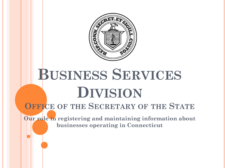

# **BUSINESS SERVICES DIVISION**

### **OFFICE OF THE SECRETARY OF THE STATE**

**Our role in registering and maintaining information about businesses operating in Connecticut**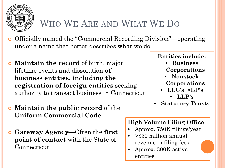

### WHO WE ARE AND WHAT WE DO

- Officially named the "Commercial Recording Division"—operating under a name that better describes what we do.
- **Maintain the record** of birth, major lifetime events and dissolution **of business entities, including the registration of foreign entities** seeking authority to transact business in Connecticut.
- **Maintain the public record** of the **Uniform Commercial Code**
- **Gateway Agency—**Often the **first point of contact** with the State of Connecticut

**Entities include:**

- **Business Corporations**
- **Nonstock Corporations**
- **LLC's •LP's** • **LLP's**
- **Statutory Trusts**

### **High Volume Filing Office**

- Approx. 750K filings/year
- >\$30 million annual revenue in filing fees
- Approx. 300K active entities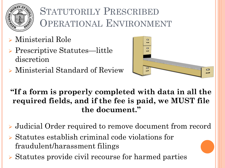

## STATUTORILY PRESCRIBED OPERATIONAL ENVIRONMENT

- Ministerial Role
- ▶ Prescriptive Statutes—little discretion
- Ministerial Standard of Review



**"If a form is properly completed with data in all the required fields, and if the fee is paid, we MUST file the document."**

- Judicial Order required to remove document from record
- $\triangleright$  Statutes establish criminal code violations for fraudulent/harassment filings
- ▶ Statutes provide civil recourse for harmed parties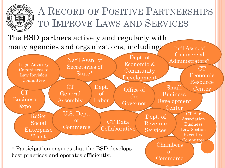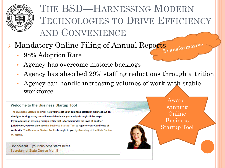

### THE BSD—HARNESSING MODERN TECHNOLOGIES TO DRIVE EFFICIENCY AND CONVENIENCE

# Mandatory Online Filing of Annual Reports <sub>cormative</sub>

- 98% Adoption Rate
- Agency has overcome historic backlogs
- Agency has absorbed 29% staffing reductions through attrition
- Agency can handle increasing volumes of work with stable workforce

#### **Welcome to the Business Startup Tool**

The Business Startup Tool will help you to get your business started in Connecticut on the right footing, using an online tool that leads you easily through all the steps. If you operate an existing foreign entity that is formed under the laws of another jurisdiction, you can also use the Business Startup Tool to register your Certificate of Authority. The Business Startup Tool is brought to you by Secretary of the State Denise W. Merrill.

Connecticut... your business starts here! **Secretary of State Denise Merrill** 

Awardwinning Online **Business** Startup Tool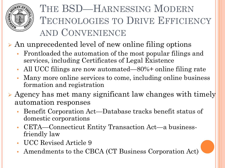

### THE BSD—HARNESSING MODERN TECHNOLOGIES TO DRIVE EFFICIENCY AND CONVENIENCE

An unprecedented level of new online filing options

- Frontloaded the automation of the most popular filings and services, including Certificates of Legal Existence
- All UCC filings are now automated—80%+ online filing rate
- Many more online services to come, including online business formation and registration
- $\triangleright$  Agency has met many significant law changes with timely automation responses
	- Benefit Corporation Act—Database tracks benefit status of domestic corporations
	- CETA—Connecticut Entity Transaction Act—a businessfriendly law
	- UCC Revised Article 9
	- Amendments to the CBCA (CT Business Corporation Act)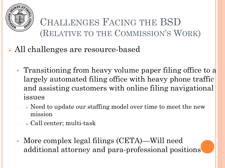

CHALLENGES FACING THE BSD (RELATIVE TO THE COMMISSION'S WORK)

All challenges are resource-based

- Transitioning from heavy volume paper filing office to a largely automated filing office with heavy phone traffic and assisting customers with online filing navigational issues
	- <sup>o</sup> Need to update our staffing model over time to meet the new mission
	- <sup>o</sup> Call center; multi-task
- More complex legal filings (CETA)—Will need additional attorney and para-professional positions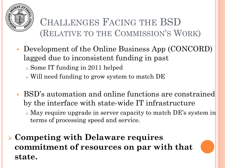

### CHALLENGES FACING THE BSD (RELATIVE TO THE COMMISSION'S WORK)

- Development of the Online Business App (CONCORD) lagged due to inconsistent funding in past
	- <sup>o</sup> Some IT funding in 2011 helped
	- <sup>o</sup> Will need funding to grow system to match DE
- BSD's automation and online functions are constrained by the interface with state-wide IT infrastructure
	- <sup>o</sup> May require upgrade in server capacity to match DE's system in terms of processing speed and service.
- **Competing with Delaware requires commitment of resources on par with that state.**